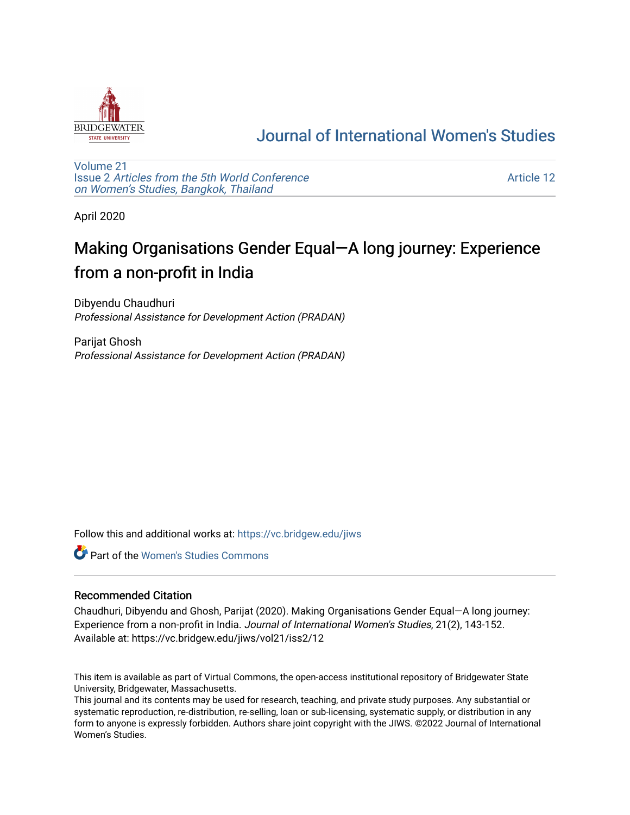

## [Journal of International Women's Studies](https://vc.bridgew.edu/jiws)

[Volume 21](https://vc.bridgew.edu/jiws/vol21) Issue 2 [Articles from the 5th World Conference](https://vc.bridgew.edu/jiws/vol21/iss2) [on Women's Studies, Bangkok, Thailand](https://vc.bridgew.edu/jiws/vol21/iss2) 

[Article 12](https://vc.bridgew.edu/jiws/vol21/iss2/12) 

April 2020

# Making Organisations Gender Equal—A long journey: Experience from a non-profit in India

Dibyendu Chaudhuri Professional Assistance for Development Action (PRADAN)

Parijat Ghosh Professional Assistance for Development Action (PRADAN)

Follow this and additional works at: [https://vc.bridgew.edu/jiws](https://vc.bridgew.edu/jiws?utm_source=vc.bridgew.edu%2Fjiws%2Fvol21%2Fiss2%2F12&utm_medium=PDF&utm_campaign=PDFCoverPages)

**C** Part of the Women's Studies Commons

#### Recommended Citation

Chaudhuri, Dibyendu and Ghosh, Parijat (2020). Making Organisations Gender Equal—A long journey: Experience from a non-profit in India. Journal of International Women's Studies, 21(2), 143-152. Available at: https://vc.bridgew.edu/jiws/vol21/iss2/12

This item is available as part of Virtual Commons, the open-access institutional repository of Bridgewater State University, Bridgewater, Massachusetts.

This journal and its contents may be used for research, teaching, and private study purposes. Any substantial or systematic reproduction, re-distribution, re-selling, loan or sub-licensing, systematic supply, or distribution in any form to anyone is expressly forbidden. Authors share joint copyright with the JIWS. ©2022 Journal of International Women's Studies.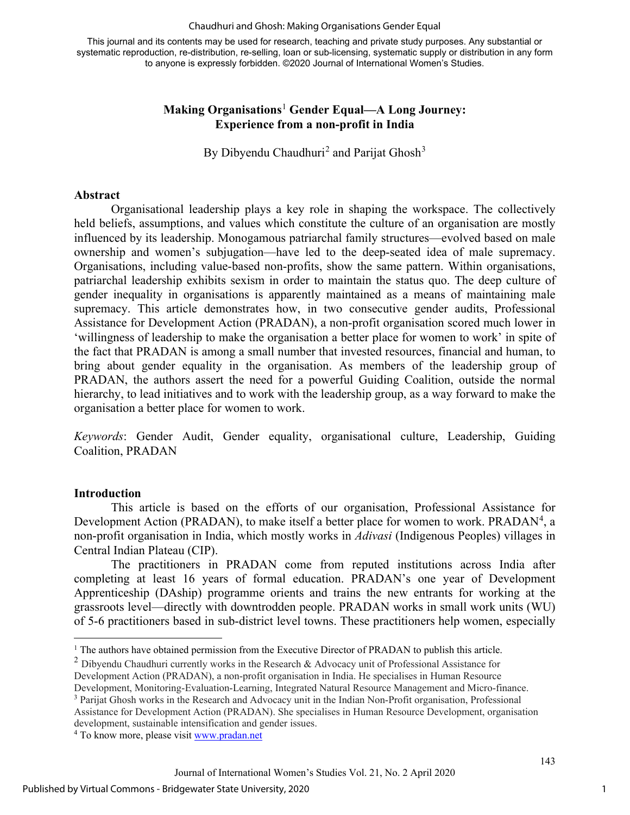#### Chaudhuri and Ghosh: Making Organisations Gender Equal

This journal and its contents may be used for research, teaching and private study purposes. Any substantial or systematic reproduction, re-distribution, re-selling, loan or sub-licensing, systematic supply or distribution in any form to anyone is expressly forbidden. ©2020 Journal of International Women's Studies.

#### **Making Organisations**[1](#page-1-0) **Gender Equal—A Long Journey: Experience from a non-profit in India**

By Dibyendu Chaudhuri<sup>[2](#page-1-1)</sup> and Parijat Ghosh<sup>[3](#page-1-2)</sup>

#### **Abstract**

Organisational leadership plays a key role in shaping the workspace. The collectively held beliefs, assumptions, and values which constitute the culture of an organisation are mostly influenced by its leadership. Monogamous patriarchal family structures—evolved based on male ownership and women's subjugation—have led to the deep-seated idea of male supremacy. Organisations, including value-based non-profits, show the same pattern. Within organisations, patriarchal leadership exhibits sexism in order to maintain the status quo. The deep culture of gender inequality in organisations is apparently maintained as a means of maintaining male supremacy. This article demonstrates how, in two consecutive gender audits, Professional Assistance for Development Action (PRADAN), a non-profit organisation scored much lower in 'willingness of leadership to make the organisation a better place for women to work' in spite of the fact that PRADAN is among a small number that invested resources, financial and human, to bring about gender equality in the organisation. As members of the leadership group of PRADAN, the authors assert the need for a powerful Guiding Coalition, outside the normal hierarchy, to lead initiatives and to work with the leadership group, as a way forward to make the organisation a better place for women to work.

*Keywords*: Gender Audit, Gender equality, organisational culture, Leadership, Guiding Coalition, PRADAN

#### **Introduction**

This article is based on the efforts of our organisation, Professional Assistance for Development Action (PRADAN), to make itself a better place for women to work. PRADAN<sup>[4](#page-1-3)</sup>, a non-profit organisation in India, which mostly works in *Adivasi* (Indigenous Peoples) villages in Central Indian Plateau (CIP).

The practitioners in PRADAN come from reputed institutions across India after completing at least 16 years of formal education. PRADAN's one year of Development Apprenticeship (DAship) programme orients and trains the new entrants for working at the grassroots level—directly with downtrodden people. PRADAN works in small work units (WU) of 5-6 practitioners based in sub-district level towns. These practitioners help women, especially

<span id="page-1-0"></span><sup>&</sup>lt;sup>1</sup> The authors have obtained permission from the Executive Director of PRADAN to publish this article.<sup>2</sup> Dibyendu Chaudhuri currently works in the Research & Advocacy unit of Professional Assistance for

<span id="page-1-1"></span>Development Action (PRADAN), a non-profit organisation in India. He specialises in Human Resource

Development, Monitoring-Evaluation-Learning, Integrated Natural Resource Management and Micro-finance.

<sup>3</sup> Parijat Ghosh works in the Research and Advocacy unit in the Indian Non-Profit organisation, Professional

<span id="page-1-3"></span><span id="page-1-2"></span>Assistance for Development Action (PRADAN). She specialises in Human Resource Development, organisation development, sustainable intensification and gender issues. 4 To know more, please visit [www.pradan.net](http://www.pradan.net/)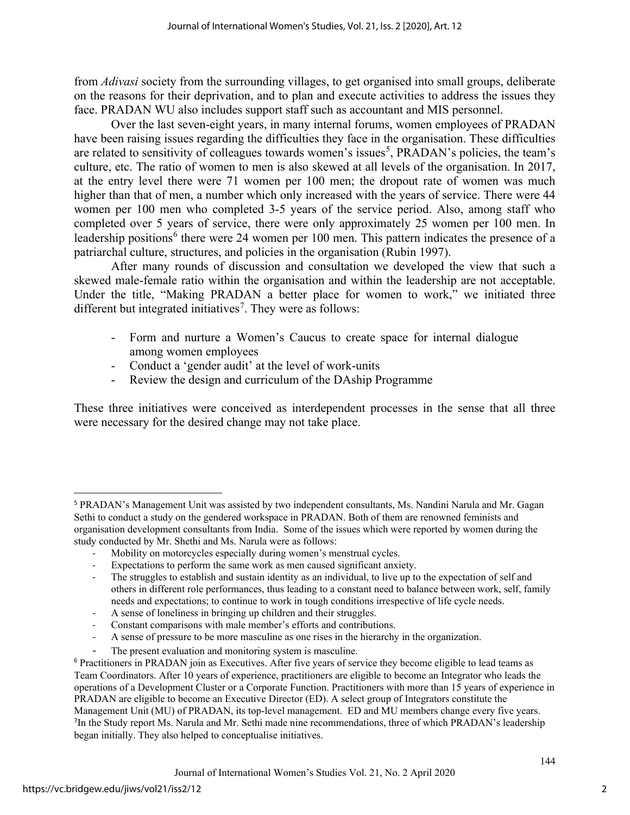from *Adivasi* society from the surrounding villages, to get organised into small groups, deliberate on the reasons for their deprivation, and to plan and execute activities to address the issues they face. PRADAN WU also includes support staff such as accountant and MIS personnel.

Over the last seven-eight years, in many internal forums, women employees of PRADAN have been raising issues regarding the difficulties they face in the organisation. These difficulties are related to sensitivity of colleagues towards women's issues<sup>[5](#page-2-0)</sup>, PRADAN's policies, the team's culture, etc. The ratio of women to men is also skewed at all levels of the organisation. In 2017, at the entry level there were 71 women per 100 men; the dropout rate of women was much higher than that of men, a number which only increased with the years of service. There were 44 women per 100 men who completed 3-5 years of the service period. Also, among staff who completed over 5 years of service, there were only approximately 25 women per 100 men. In leadership positions<sup>[6](#page-2-1)</sup> there were 24 women per 100 men. This pattern indicates the presence of a patriarchal culture, structures, and policies in the organisation (Rubin 1997).

After many rounds of discussion and consultation we developed the view that such a skewed male-female ratio within the organisation and within the leadership are not acceptable. Under the title, "Making PRADAN a better place for women to work," we initiated three different but integrated initiatives<sup>[7](#page-2-2)</sup>. They were as follows:

- Form and nurture a Women's Caucus to create space for internal dialogue among women employees
- Conduct a 'gender audit' at the level of work-units
- Review the design and curriculum of the DAship Programme

These three initiatives were conceived as interdependent processes in the sense that all three were necessary for the desired change may not take place.

- Constant comparisons with male member's efforts and contributions.
- A sense of pressure to be more masculine as one rises in the hierarchy in the organization.
- The present evaluation and monitoring system is masculine.

<span id="page-2-0"></span><sup>5</sup> PRADAN's Management Unit was assisted by two independent consultants, Ms. Nandini Narula and Mr. Gagan Sethi to conduct a study on the gendered workspace in PRADAN. Both of them are renowned feminists and organisation development consultants from India. Some of the issues which were reported by women during the study conducted by Mr. Shethi and Ms. Narula were as follows:

Mobility on motorcycles especially during women's menstrual cycles.

Expectations to perform the same work as men caused significant anxiety.

The struggles to establish and sustain identity as an individual, to live up to the expectation of self and others in different role performances, thus leading to a constant need to balance between work, self, family needs and expectations; to continue to work in tough conditions irrespective of life cycle needs.

<sup>-</sup> A sense of loneliness in bringing up children and their struggles.

<span id="page-2-2"></span><span id="page-2-1"></span><sup>&</sup>lt;sup>6</sup> Practitioners in PRADAN join as Executives. After five years of service they become eligible to lead teams as Team Coordinators. After 10 years of experience, practitioners are eligible to become an Integrator who leads the operations of a Development Cluster or a Corporate Function. Practitioners with more than 15 years of experience in PRADAN are eligible to become an Executive Director (ED). A select group of Integrators constitute the Management Unit (MU) of PRADAN, its top-level management. ED and MU members change every five years. 7 <sup>7</sup>In the Study report Ms. Narula and Mr. Sethi made nine recommendations, three of which PRADAN's leadership began initially. They also helped to conceptualise initiatives.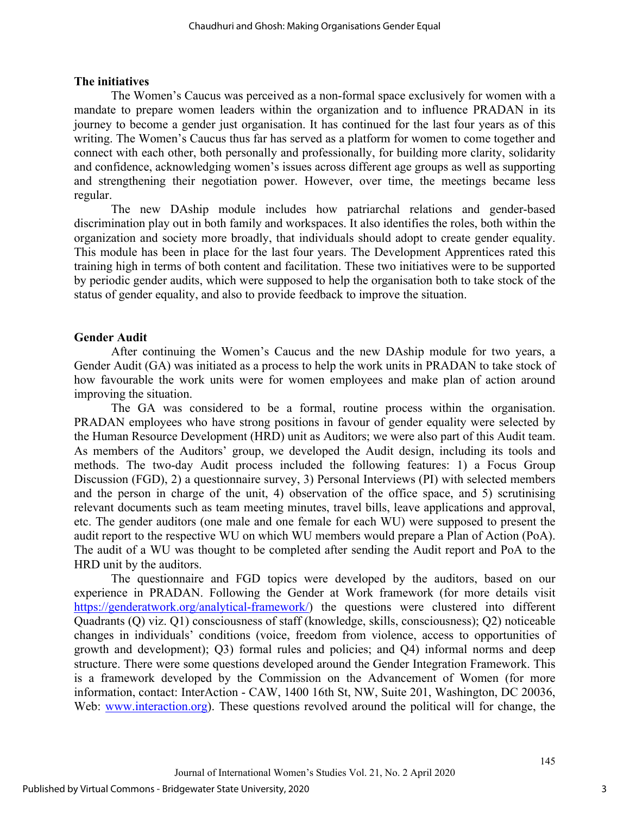#### **The initiatives**

The Women's Caucus was perceived as a non-formal space exclusively for women with a mandate to prepare women leaders within the organization and to influence PRADAN in its journey to become a gender just organisation. It has continued for the last four years as of this writing. The Women's Caucus thus far has served as a platform for women to come together and connect with each other, both personally and professionally, for building more clarity, solidarity and confidence, acknowledging women's issues across different age groups as well as supporting and strengthening their negotiation power. However, over time, the meetings became less regular.

The new DAship module includes how patriarchal relations and gender-based discrimination play out in both family and workspaces. It also identifies the roles, both within the organization and society more broadly, that individuals should adopt to create gender equality. This module has been in place for the last four years. The Development Apprentices rated this training high in terms of both content and facilitation. These two initiatives were to be supported by periodic gender audits, which were supposed to help the organisation both to take stock of the status of gender equality, and also to provide feedback to improve the situation.

#### **Gender Audit**

After continuing the Women's Caucus and the new DAship module for two years, a Gender Audit (GA) was initiated as a process to help the work units in PRADAN to take stock of how favourable the work units were for women employees and make plan of action around improving the situation.

The GA was considered to be a formal, routine process within the organisation. PRADAN employees who have strong positions in favour of gender equality were selected by the Human Resource Development (HRD) unit as Auditors; we were also part of this Audit team. As members of the Auditors' group, we developed the Audit design, including its tools and methods. The two-day Audit process included the following features: 1) a Focus Group Discussion (FGD), 2) a questionnaire survey, 3) Personal Interviews (PI) with selected members and the person in charge of the unit, 4) observation of the office space, and 5) scrutinising relevant documents such as team meeting minutes, travel bills, leave applications and approval, etc. The gender auditors (one male and one female for each WU) were supposed to present the audit report to the respective WU on which WU members would prepare a Plan of Action (PoA). The audit of a WU was thought to be completed after sending the Audit report and PoA to the HRD unit by the auditors.

The questionnaire and FGD topics were developed by the auditors, based on our experience in PRADAN. Following the Gender at Work framework (for more details visit [https://genderatwork.org/analytical-framework/\)](https://genderatwork.org/analytical-framework/) the questions were clustered into different Quadrants (Q) viz. Q1) consciousness of staff (knowledge, skills, consciousness); Q2) noticeable changes in individuals' conditions (voice, freedom from violence, access to opportunities of growth and development); Q3) formal rules and policies; and Q4) informal norms and deep structure. There were some questions developed around the Gender Integration Framework. This is a framework developed by the Commission on the Advancement of Women (for more information, contact: InterAction - CAW, 1400 16th St, NW, Suite 201, Washington, DC 20036, Web: [www.interaction.org\)](http://www.interaction.org/). These questions revolved around the political will for change, the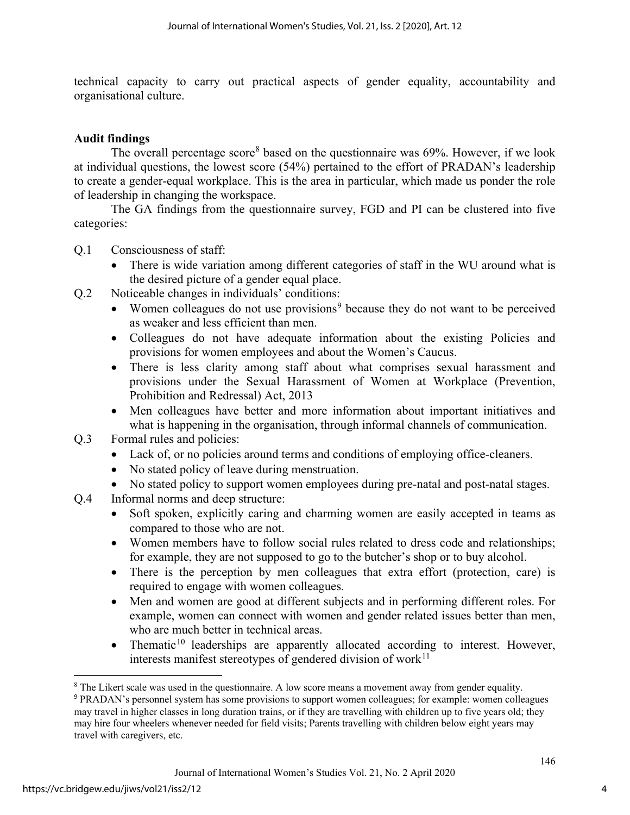technical capacity to carry out practical aspects of gender equality, accountability and organisational culture.

#### **Audit findings**

The overall percentage score<sup>[8](#page-4-0)</sup> based on the questionnaire was  $69\%$ . However, if we look at individual questions, the lowest score (54%) pertained to the effort of PRADAN's leadership to create a gender-equal workplace. This is the area in particular, which made us ponder the role of leadership in changing the workspace.

The GA findings from the questionnaire survey, FGD and PI can be clustered into five categories:

- Q.1 Consciousness of staff:
	- There is wide variation among different categories of staff in the WU around what is the desired picture of a gender equal place.
- Q.2 Noticeable changes in individuals' conditions:
	- Women colleagues do not use provisions<sup>[9](#page-4-1)</sup> because they do not want to be perceived as weaker and less efficient than men.
	- Colleagues do not have adequate information about the existing Policies and provisions for women employees and about the Women's Caucus.
	- There is less clarity among staff about what comprises sexual harassment and provisions under [the Sexual Harassment of Women at Workplace \(Prevention,](https://en.wikipedia.org/wiki/The_Sexual_Harassment_of_Women_at_Workplace_(Prevention,_Prohibition_and_Redressal)_Act,_2013)  [Prohibition and Redressal\) Act, 2013](https://en.wikipedia.org/wiki/The_Sexual_Harassment_of_Women_at_Workplace_(Prevention,_Prohibition_and_Redressal)_Act,_2013)
	- Men colleagues have better and more information about important initiatives and what is happening in the organisation, through informal channels of communication.
- Q.3 Formal rules and policies:
	- Lack of, or no policies around terms and conditions of employing office-cleaners.
	- No stated policy of leave during menstruation.
	- No stated policy to support women employees during pre-natal and post-natal stages.
- <span id="page-4-2"></span>Q.4 Informal norms and deep structure:
	- Soft spoken, explicitly caring and charming women are easily accepted in teams as compared to those who are not.
	- Women members have to follow social rules related to dress code and relationships; for example, they are not supposed to go to the butcher's shop or to buy alcohol.
	- There is the perception by men colleagues that extra effort (protection, care) is required to engage with women colleagues.
	- Men and women are good at different subjects and in performing different roles. For example, women can connect with women and gender related issues better than men, who are much better in technical areas.
	- Thematic<sup>[10](#page-4-2)</sup> leaderships are apparently allocated according to interest. However, interests manifest stereotypes of gendered division of work $11$

<span id="page-4-3"></span><span id="page-4-0"></span><sup>&</sup>lt;sup>8</sup> The Likert scale was used in the questionnaire. A low score means a movement away from gender equality.

<span id="page-4-1"></span><sup>9</sup> PRADAN's personnel system has some provisions to support women colleagues; for example: women colleagues may travel in higher classes in long duration trains, or if they are travelling with children up to five years old; they may hire four wheelers whenever needed for field visits; Parents travelling with children below eight years may travel with caregivers, etc.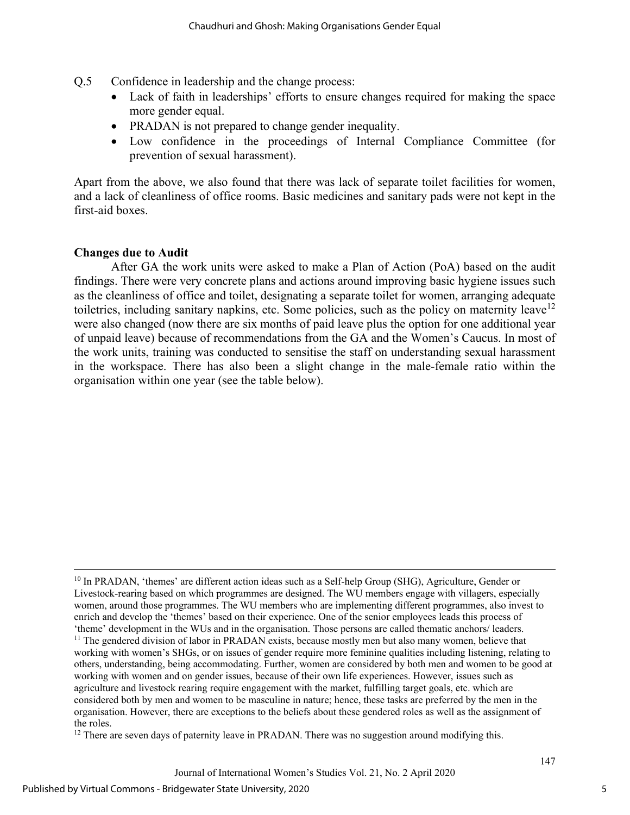- Q.5 Confidence in leadership and the change process:
	- Lack of faith in leaderships' efforts to ensure changes required for making the space more gender equal.
	- PRADAN is not prepared to change gender inequality.
	- Low confidence in the proceedings of Internal Compliance Committee (for prevention of sexual harassment).

Apart from the above, we also found that there was lack of separate toilet facilities for women, and a lack of cleanliness of office rooms. Basic medicines and sanitary pads were not kept in the first-aid boxes.

#### **Changes due to Audit**

After GA the work units were asked to make a Plan of Action (PoA) based on the audit findings. There were very concrete plans and actions around improving basic hygiene issues such as the cleanliness of office and toilet, designating a separate toilet for women, arranging adequate toiletries, including sanitary napkins, etc. Some policies, such as the policy on maternity leave<sup>[12](#page-5-0)</sup> were also changed (now there are six months of paid leave plus the option for one additional year of unpaid leave) because of recommendations from the GA and the Women's Caucus. In most of the work units, training was conducted to sensitise the staff on understanding sexual harassment in the workspace. There has also been a slight change in the male-female ratio within the organisation within one year (see the table below).

<span id="page-5-0"></span> $12$  There are seven days of paternity leave in PRADAN. There was no suggestion around modifying this.

5

<sup>&</sup>lt;sup>10</sup> In PRADAN, 'themes' are different action ideas such as a Self-help Group (SHG), Agriculture, Gender or Livestock-rearing based on which programmes are designed. The WU members engage with villagers, especially women, around those programmes. The WU members who are implementing different programmes, also invest to enrich and develop the 'themes' based on their experience. One of the senior employees leads this process of 'theme' development in the WUs and in the organisation. Those persons are called thematic anchors/ leaders. <sup>11</sup> The gendered division of labor in PRADAN exists, because mostly men but also many women, believe that working with women's SHGs, or on issues of gender require more feminine qualities including listening, relating to others, understanding, being accommodating. Further, women are considered by both men and women to be good at working with women and on gender issues, because of their own life experiences. However, issues such as agriculture and livestock rearing require engagement with the market, fulfilling target goals, etc. which are considered both by men and women to be masculine in nature; hence, these tasks are preferred by the men in the organisation. However, there are exceptions to the beliefs about these gendered roles as well as the assignment of the roles.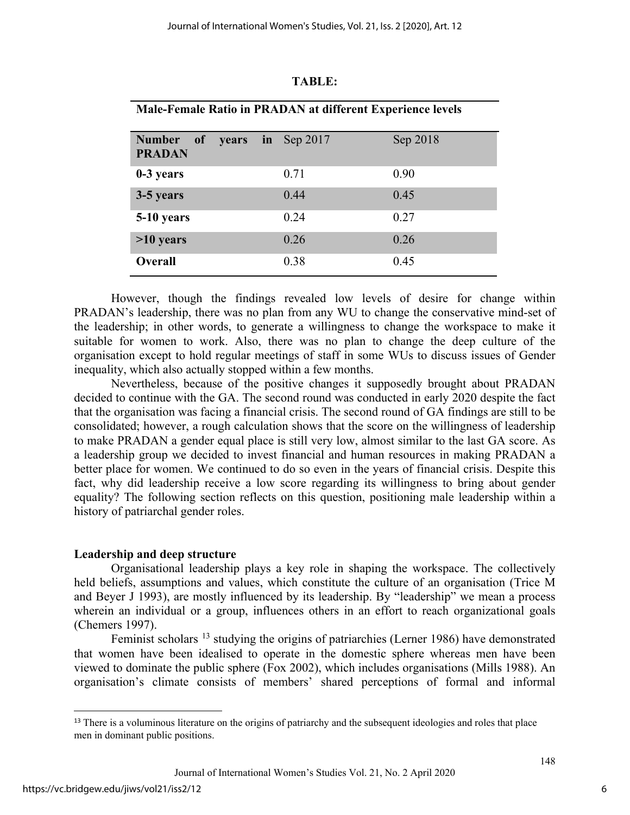| <b>Male-Female Ratio in PRADAN at different Experience levels</b> |       |                |          |
|-------------------------------------------------------------------|-------|----------------|----------|
| <b>Number</b><br>$\bf{of}$<br><b>PRADAN</b>                       | years | $\ln$ Sep 2017 | Sep 2018 |
| 0-3 years                                                         |       | 0.71           | 0.90     |
| 3-5 years                                                         |       | 0.44           | 0.45     |
| 5-10 years                                                        |       | 0.24           | 0.27     |
| $>10$ years                                                       |       | 0.26           | 0.26     |
| <b>Overall</b>                                                    |       | 0.38           | 0.45     |

#### **TABLE:**

However, though the findings revealed low levels of desire for change within PRADAN's leadership, there was no plan from any WU to change the conservative mind-set of the leadership; in other words, to generate a willingness to change the workspace to make it suitable for women to work. Also, there was no plan to change the deep culture of the organisation except to hold regular meetings of staff in some WUs to discuss issues of Gender inequality, which also actually stopped within a few months.

Nevertheless, because of the positive changes it supposedly brought about PRADAN decided to continue with the GA. The second round was conducted in early 2020 despite the fact that the organisation was facing a financial crisis. The second round of GA findings are still to be consolidated; however, a rough calculation shows that the score on the willingness of leadership to make PRADAN a gender equal place is still very low, almost similar to the last GA score. As a leadership group we decided to invest financial and human resources in making PRADAN a better place for women. We continued to do so even in the years of financial crisis. Despite this fact, why did leadership receive a low score regarding its willingness to bring about gender equality? The following section reflects on this question, positioning male leadership within a history of patriarchal gender roles.

### **Leadership and deep structure**

Organisational leadership plays a key role in shaping the workspace. The collectively held beliefs, assumptions and values, which constitute the culture of an organisation (Trice M and Beyer J 1993), are mostly influenced by its leadership. By "leadership" we mean a process wherein an individual or a group, influences others in an effort to reach organizational goals (Chemers 1997).

Feminist scholars <sup>[13](#page-6-0)</sup> studying the origins of patriarchies (Lerner 1986) have demonstrated that women have been idealised to operate in the domestic sphere whereas men have been viewed to dominate the public sphere (Fox 2002), which includes organisations (Mills 1988). An organisation's climate consists of members' shared perceptions of formal and informal

<span id="page-6-0"></span><sup>&</sup>lt;sup>13</sup> There is a voluminous literature on the origins of patriarchy and the subsequent ideologies and roles that place men in dominant public positions.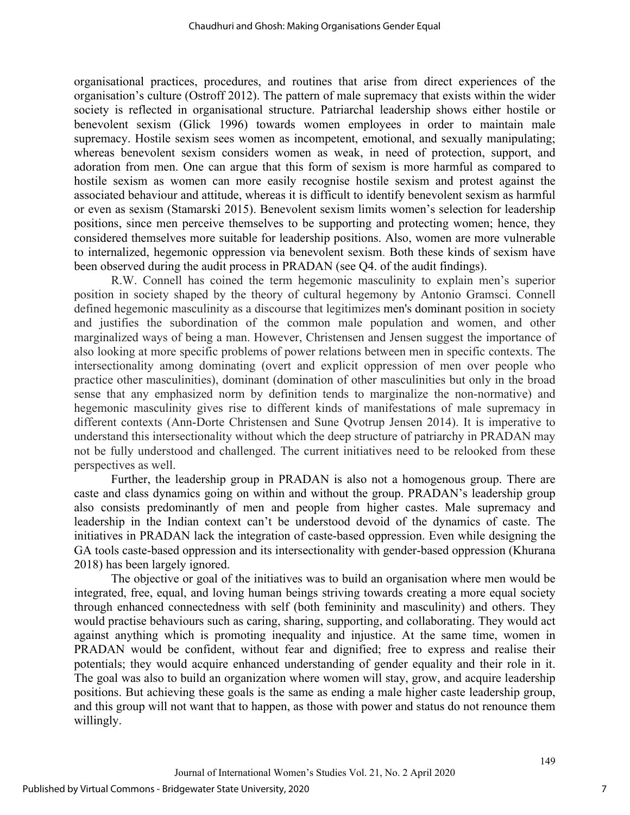organisational practices, procedures, and routines that arise from direct experiences of the organisation's culture (Ostroff 2012). The pattern of male supremacy that exists within the wider society is reflected in organisational structure. Patriarchal leadership shows either hostile or benevolent sexism (Glick 1996) towards women employees in order to maintain male supremacy. Hostile sexism sees women as incompetent, emotional, and sexually manipulating; whereas benevolent sexism considers women as weak, in need of protection, support, and adoration from men. One can argue that this form of sexism is more harmful as compared to hostile sexism as women can more easily recognise hostile sexism and protest against the associated behaviour and attitude, whereas it is difficult to identify benevolent sexism as harmful or even as sexism (Stamarski 2015). Benevolent sexism limits women's selection for leadership positions, since men perceive themselves to be supporting and protecting women; hence, they considered themselves more suitable for leadership positions. Also, women are more vulnerable to internalized, hegemonic oppression via benevolent sexism. Both these kinds of sexism have been observed during the audit process in PRADAN (see Q4. of the audit findings).

R.W. Connell has coined the term hegemonic masculinity to explain men's superior position in society shaped by the theory of cultural hegemony by Antonio Gramsci. Connell defined hegemonic masculinity as a discourse that legitimizes [men's dominant](https://en.wikipedia.org/wiki/Androcentrism) position in society and justifies the subordination of the common male population and women, and other marginalized ways of being a man. However, Christensen and Jensen suggest the importance of also looking at more specific problems of power relations between men in specific contexts. The intersectionality among dominating (overt and explicit oppression of men over people who practice other masculinities), dominant (domination of other masculinities but only in the broad sense that any emphasized norm by definition tends to marginalize the non-normative) and hegemonic masculinity gives rise to different kinds of manifestations of male supremacy in different contexts (Ann-Dorte Christensen and Sune Qvotrup Jensen 2014). It is imperative to understand this intersectionality without which the deep structure of patriarchy in PRADAN may not be fully understood and challenged. The current initiatives need to be relooked from these perspectives as well.

Further, the leadership group in PRADAN is also not a homogenous group. There are caste and class dynamics going on within and without the group. PRADAN's leadership group also consists predominantly of men and people from higher castes. Male supremacy and leadership in the Indian context can't be understood devoid of the dynamics of caste. The initiatives in PRADAN lack the integration of caste-based oppression. Even while designing the GA tools caste-based oppression and its intersectionality with gender-based oppression (Khurana 2018) has been largely ignored.

The objective or goal of the initiatives was to build an organisation where men would be integrated, free, equal, and loving human beings striving towards creating a more equal society through enhanced connectedness with self (both femininity and masculinity) and others. They would practise behaviours such as caring, sharing, supporting, and collaborating. They would act against anything which is promoting inequality and injustice. At the same time, women in PRADAN would be confident, without fear and dignified; free to express and realise their potentials; they would acquire enhanced understanding of gender equality and their role in it. The goal was also to build an organization where women will stay, grow, and acquire leadership positions. But achieving these goals is the same as ending a male higher caste leadership group, and this group will not want that to happen, as those with power and status do not renounce them willingly.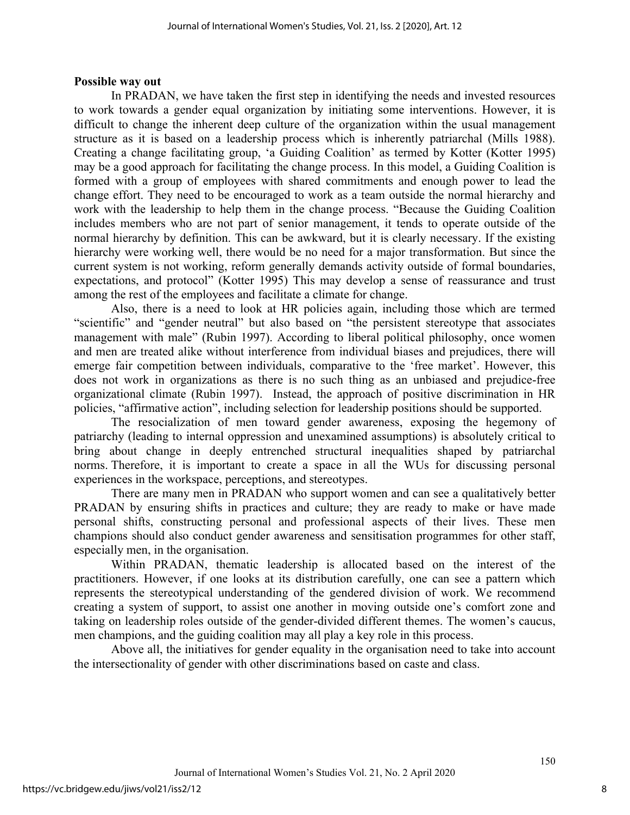#### **Possible way out**

In PRADAN, we have taken the first step in identifying the needs and invested resources to work towards a gender equal organization by initiating some interventions. However, it is difficult to change the inherent deep culture of the organization within the usual management structure as it is based on a leadership process which is inherently patriarchal (Mills 1988). Creating a change facilitating group, 'a Guiding Coalition' as termed by Kotter (Kotter 1995) may be a good approach for facilitating the change process. In this model, a Guiding Coalition is formed with a group of employees with shared commitments and enough power to lead the change effort. They need to be encouraged to work as a team outside the normal hierarchy and work with the leadership to help them in the change process. "Because the Guiding Coalition includes members who are not part of senior management, it tends to operate outside of the normal hierarchy by definition. This can be awkward, but it is clearly necessary. If the existing hierarchy were working well, there would be no need for a major transformation. But since the current system is not working, reform generally demands activity outside of formal boundaries, expectations, and protocol" (Kotter 1995) This may develop a sense of reassurance and trust among the rest of the employees and facilitate a climate for change.

Also, there is a need to look at HR policies again, including those which are termed "scientific" and "gender neutral" but also based on "the persistent stereotype that associates management with male" (Rubin 1997). According to liberal political philosophy, once women and men are treated alike without interference from individual biases and prejudices, there will emerge fair competition between individuals, comparative to the 'free market'. However, this does not work in organizations as there is no such thing as an unbiased and prejudice-free organizational climate (Rubin 1997). Instead, the approach of positive discrimination in HR policies, "affirmative action", including selection for leadership positions should be supported.

The resocialization of men toward gender awareness, exposing the hegemony of patriarchy (leading to internal oppression and unexamined assumptions) is absolutely critical to bring about change in deeply entrenched structural inequalities shaped by patriarchal norms. Therefore, it is important to create a space in all the WUs for discussing personal experiences in the workspace, perceptions, and stereotypes.

There are many men in PRADAN who support women and can see a qualitatively better PRADAN by ensuring shifts in practices and culture; they are ready to make or have made personal shifts, constructing personal and professional aspects of their lives. These men champions should also conduct gender awareness and sensitisation programmes for other staff, especially men, in the organisation.

Within PRADAN, thematic leadership is allocated based on the interest of the practitioners. However, if one looks at its distribution carefully, one can see a pattern which represents the stereotypical understanding of the gendered division of work. We recommend creating a system of support, to assist one another in moving outside one's comfort zone and taking on leadership roles outside of the gender-divided different themes. The women's caucus, men champions, and the guiding coalition may all play a key role in this process.

Above all, the initiatives for gender equality in the organisation need to take into account the intersectionality of gender with other discriminations based on caste and class.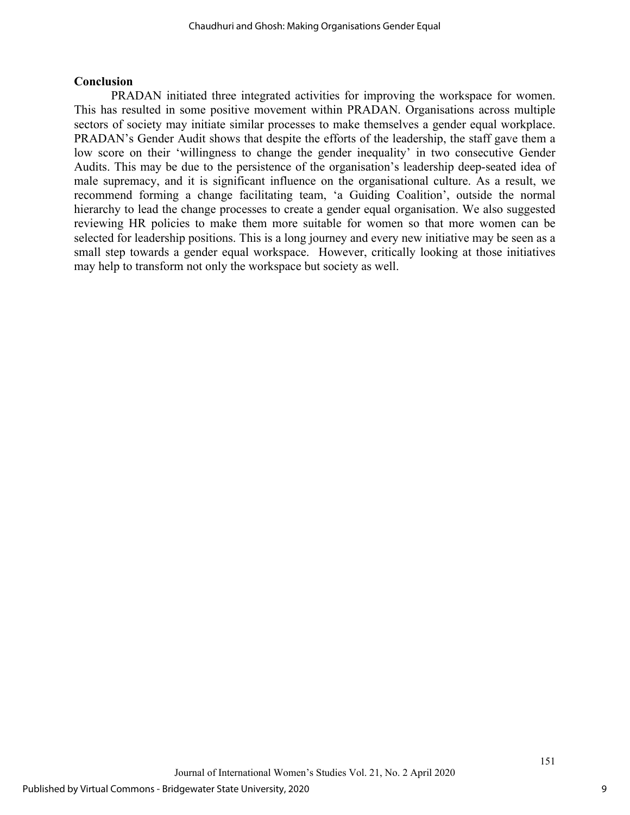#### **Conclusion**

PRADAN initiated three integrated activities for improving the workspace for women. This has resulted in some positive movement within PRADAN. Organisations across multiple sectors of society may initiate similar processes to make themselves a gender equal workplace. PRADAN's Gender Audit shows that despite the efforts of the leadership, the staff gave them a low score on their 'willingness to change the gender inequality' in two consecutive Gender Audits. This may be due to the persistence of the organisation's leadership deep-seated idea of male supremacy, and it is significant influence on the organisational culture. As a result, we recommend forming a change facilitating team, 'a Guiding Coalition', outside the normal hierarchy to lead the change processes to create a gender equal organisation. We also suggested reviewing HR policies to make them more suitable for women so that more women can be selected for leadership positions. This is a long journey and every new initiative may be seen as a small step towards a gender equal workspace. However, critically looking at those initiatives may help to transform not only the workspace but society as well.